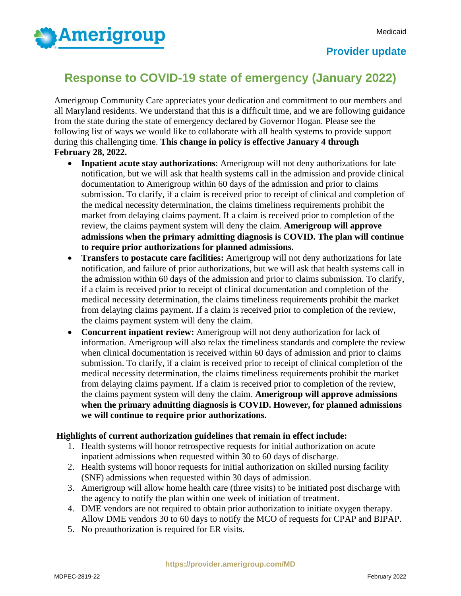

## **Provider update**

## **Response to COVID-19 state of emergency (January 2022)**

Amerigroup Community Care appreciates your dedication and commitment to our members and all Maryland residents. We understand that this is a difficult time, and we are following guidance from the state during the state of emergency declared by Governor Hogan. Please see the following list of ways we would like to collaborate with all health systems to provide support during this challenging time. **This change in policy is effective January 4 through February 28, 2022.**

- **Inpatient acute stay authorizations**: Amerigroup will not deny authorizations for late notification, but we will ask that health systems call in the admission and provide clinical documentation to Amerigroup within 60 days of the admission and prior to claims submission. To clarify, if a claim is received prior to receipt of clinical and completion of the medical necessity determination, the claims timeliness requirements prohibit the market from delaying claims payment. If a claim is received prior to completion of the review, the claims payment system will deny the claim. **Amerigroup will approve admissions when the primary admitting diagnosis is COVID. The plan will continue to require prior authorizations for planned admissions.**
- **Transfers to postacute care facilities:** Amerigroup will not deny authorizations for late notification, and failure of prior authorizations, but we will ask that health systems call in the admission within 60 days of the admission and prior to claims submission. To clarify, if a claim is received prior to receipt of clinical documentation and completion of the medical necessity determination, the claims timeliness requirements prohibit the market from delaying claims payment. If a claim is received prior to completion of the review, the claims payment system will deny the claim.
- **Concurrent inpatient review:** Amerigroup will not deny authorization for lack of information. Amerigroup will also relax the timeliness standards and complete the review when clinical documentation is received within 60 days of admission and prior to claims submission. To clarify, if a claim is received prior to receipt of clinical completion of the medical necessity determination, the claims timeliness requirements prohibit the market from delaying claims payment. If a claim is received prior to completion of the review, the claims payment system will deny the claim. **Amerigroup will approve admissions when the primary admitting diagnosis is COVID. However, for planned admissions we will continue to require prior authorizations.**

## **Highlights of current authorization guidelines that remain in effect include:**

- 1. Health systems will honor retrospective requests for initial authorization on acute inpatient admissions when requested within 30 to 60 days of discharge.
- 2. Health systems will honor requests for initial authorization on skilled nursing facility (SNF) admissions when requested within 30 days of admission.
- 3. Amerigroup will allow home health care (three visits) to be initiated post discharge with the agency to notify the plan within one week of initiation of treatment.
- 4. DME vendors are not required to obtain prior authorization to initiate oxygen therapy. Allow DME vendors 30 to 60 days to notify the MCO of requests for CPAP and BIPAP.
- 5. No preauthorization is required for ER visits.